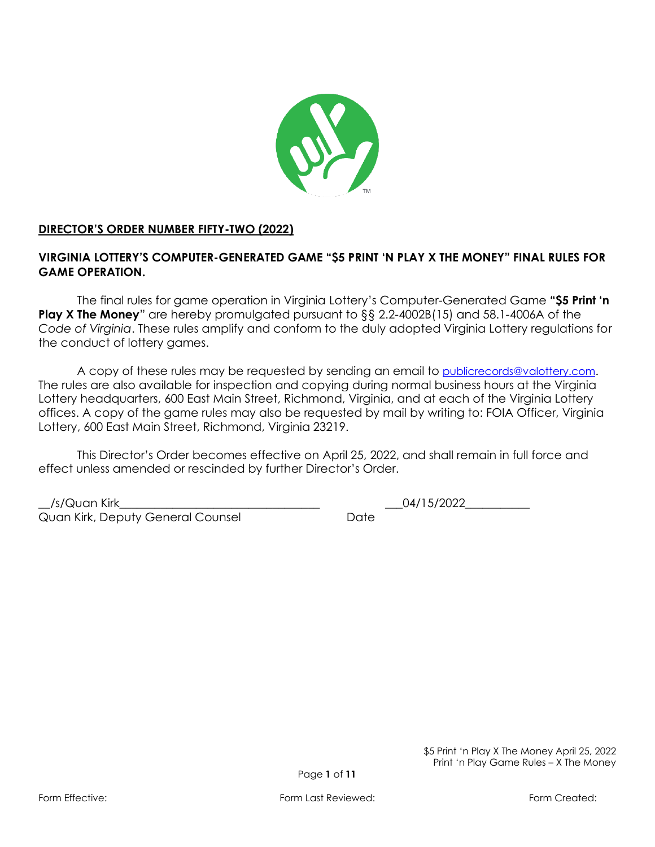

# **DIRECTOR'S ORDER NUMBER FIFTY-TWO (2022)**

# **VIRGINIA LOTTERY'S COMPUTER-GENERATED GAME "\$5 PRINT 'N PLAY X THE MONEY" FINAL RULES FOR GAME OPERATION.**

The final rules for game operation in Virginia Lottery's Computer-Generated Game **"\$5 Print 'n**  Play X The Money" are hereby promulgated pursuant to §§ 2.2-4002B(15) and 58.1-4006A of the *Code of Virginia*. These rules amplify and conform to the duly adopted Virginia Lottery regulations for the conduct of lottery games.

A copy of these rules may be requested by sending an email to [publicrecords@valottery.com](mailto:PublicRecords@Valottery.com). The rules are also available for inspection and copying during normal business hours at the Virginia Lottery headquarters, 600 East Main Street, Richmond, Virginia, and at each of the Virginia Lottery offices. A copy of the game rules may also be requested by mail by writing to: FOIA Officer, Virginia Lottery, 600 East Main Street, Richmond, Virginia 23219.

This Director's Order becomes effective on April 25, 2022, and shall remain in full force and effect unless amended or rescinded by further Director's Order.

\_\_/s/Quan Kirk\_\_\_\_\_\_\_\_\_\_\_\_\_\_\_\_\_\_\_\_\_\_\_\_\_\_\_\_\_\_\_\_\_\_ \_\_\_04/15/2022\_\_\_\_\_\_\_\_\_\_\_ Quan Kirk, Deputy General Counsel **Date** Date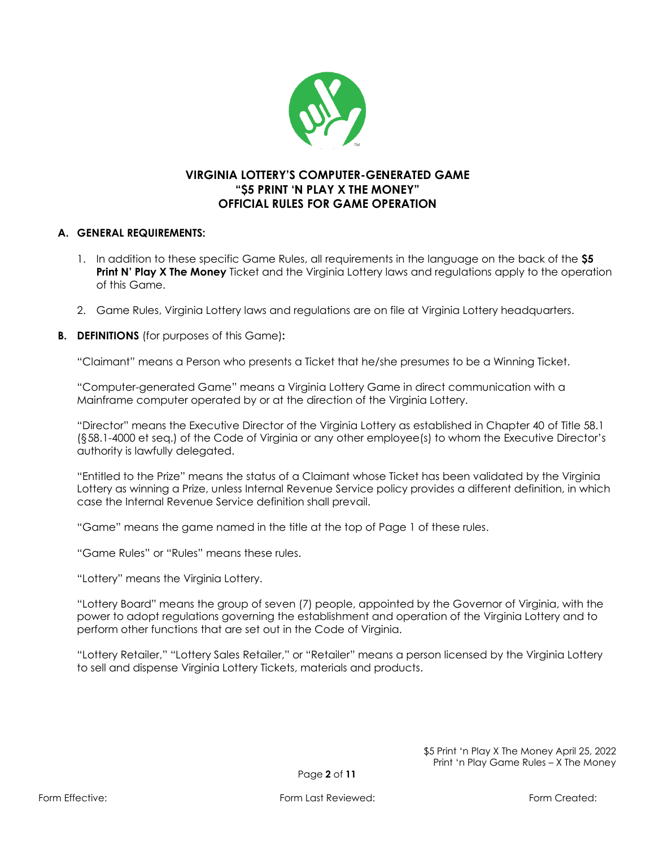

# **VIRGINIA LOTTERY'S COMPUTER-GENERATED GAME "\$5 PRINT 'N PLAY X THE MONEY" OFFICIAL RULES FOR GAME OPERATION**

### **A. GENERAL REQUIREMENTS:**

- 1. In addition to these specific Game Rules, all requirements in the language on the back of the **\$5 Print N' Play X The Money** Ticket and the Virginia Lottery laws and regulations apply to the operation of this Game.
- 2. Game Rules, Virginia Lottery laws and regulations are on file at Virginia Lottery headquarters.
- **B. DEFINITIONS** (for purposes of this Game)**:**

"Claimant" means a Person who presents a Ticket that he/she presumes to be a Winning Ticket.

"Computer-generated Game" means a Virginia Lottery Game in direct communication with a Mainframe computer operated by or at the direction of the Virginia Lottery.

"Director" means the Executive Director of the Virginia Lottery as established in Chapter 40 of Title 58.1 (§58.1-4000 et seq.) of the Code of Virginia or any other employee(s) to whom the Executive Director's authority is lawfully delegated.

"Entitled to the Prize" means the status of a Claimant whose Ticket has been validated by the Virginia Lottery as winning a Prize, unless Internal Revenue Service policy provides a different definition, in which case the Internal Revenue Service definition shall prevail.

"Game" means the game named in the title at the top of Page 1 of these rules.

"Game Rules" or "Rules" means these rules.

"Lottery" means the Virginia Lottery.

"Lottery Board" means the group of seven (7) people, appointed by the Governor of Virginia, with the power to adopt regulations governing the establishment and operation of the Virginia Lottery and to perform other functions that are set out in the Code of Virginia.

"Lottery Retailer," "Lottery Sales Retailer," or "Retailer" means a person licensed by the Virginia Lottery to sell and dispense Virginia Lottery Tickets, materials and products.

> \$5 Print 'n Play X The Money April 25, 2022 Print 'n Play Game Rules – X The Money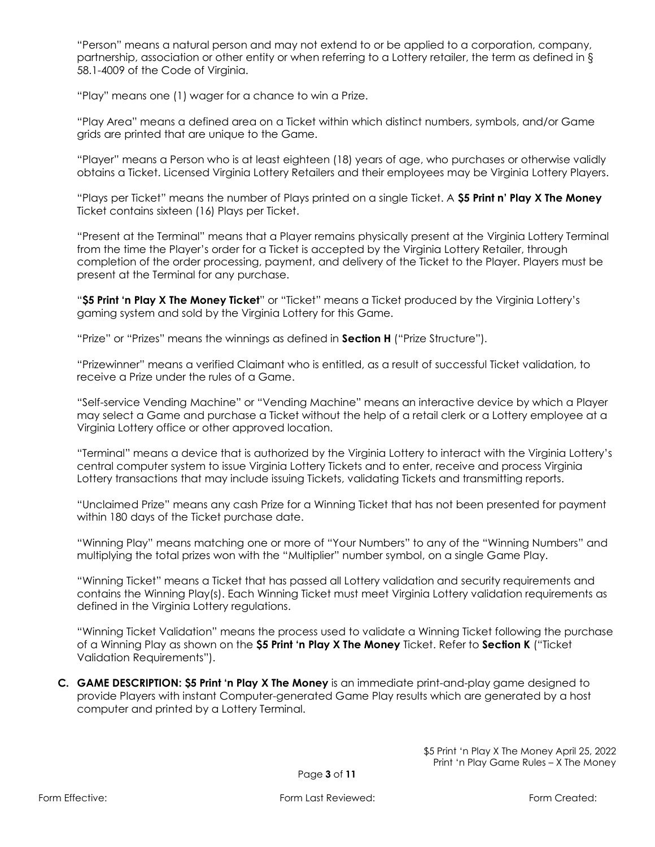"Person" means a natural person and may not extend to or be applied to a corporation, company, partnership, association or other entity or when referring to a Lottery retailer, the term as defined in § 58.1-4009 of the Code of Virginia.

"Play" means one (1) wager for a chance to win a Prize.

"Play Area" means a defined area on a Ticket within which distinct numbers, symbols, and/or Game grids are printed that are unique to the Game.

"Player" means a Person who is at least eighteen (18) years of age, who purchases or otherwise validly obtains a Ticket. Licensed Virginia Lottery Retailers and their employees may be Virginia Lottery Players.

"Plays per Ticket" means the number of Plays printed on a single Ticket. A **\$5 Print n' Play X The Money**  Ticket contains sixteen (16) Plays per Ticket.

"Present at the Terminal" means that a Player remains physically present at the Virginia Lottery Terminal from the time the Player's order for a Ticket is accepted by the Virginia Lottery Retailer, through completion of the order processing, payment, and delivery of the Ticket to the Player. Players must be present at the Terminal for any purchase.

"**\$5 Print 'n Play X The Money Ticket**" or "Ticket" means a Ticket produced by the Virginia Lottery's gaming system and sold by the Virginia Lottery for this Game.

"Prize" or "Prizes" means the winnings as defined in **Section H** ("Prize Structure").

"Prizewinner" means a verified Claimant who is entitled, as a result of successful Ticket validation, to receive a Prize under the rules of a Game.

"Self-service Vending Machine" or "Vending Machine" means an interactive device by which a Player may select a Game and purchase a Ticket without the help of a retail clerk or a Lottery employee at a Virginia Lottery office or other approved location.

"Terminal" means a device that is authorized by the Virginia Lottery to interact with the Virginia Lottery's central computer system to issue Virginia Lottery Tickets and to enter, receive and process Virginia Lottery transactions that may include issuing Tickets, validating Tickets and transmitting reports.

"Unclaimed Prize" means any cash Prize for a Winning Ticket that has not been presented for payment within 180 days of the Ticket purchase date.

"Winning Play" means matching one or more of "Your Numbers" to any of the "Winning Numbers" and multiplying the total prizes won with the "Multiplier" number symbol, on a single Game Play.

"Winning Ticket" means a Ticket that has passed all Lottery validation and security requirements and contains the Winning Play(s). Each Winning Ticket must meet Virginia Lottery validation requirements as defined in the Virginia Lottery regulations.

"Winning Ticket Validation" means the process used to validate a Winning Ticket following the purchase of a Winning Play as shown on the **\$5 Print 'n Play X The Money** Ticket. Refer to **Section K** ("Ticket Validation Requirements").

**C. GAME DESCRIPTION: \$5 Print 'n Play X The Money** is an immediate print-and-play game designed to provide Players with instant Computer-generated Game Play results which are generated by a host computer and printed by a Lottery Terminal.

> \$5 Print 'n Play X The Money April 25, 2022 Print 'n Play Game Rules – X The Money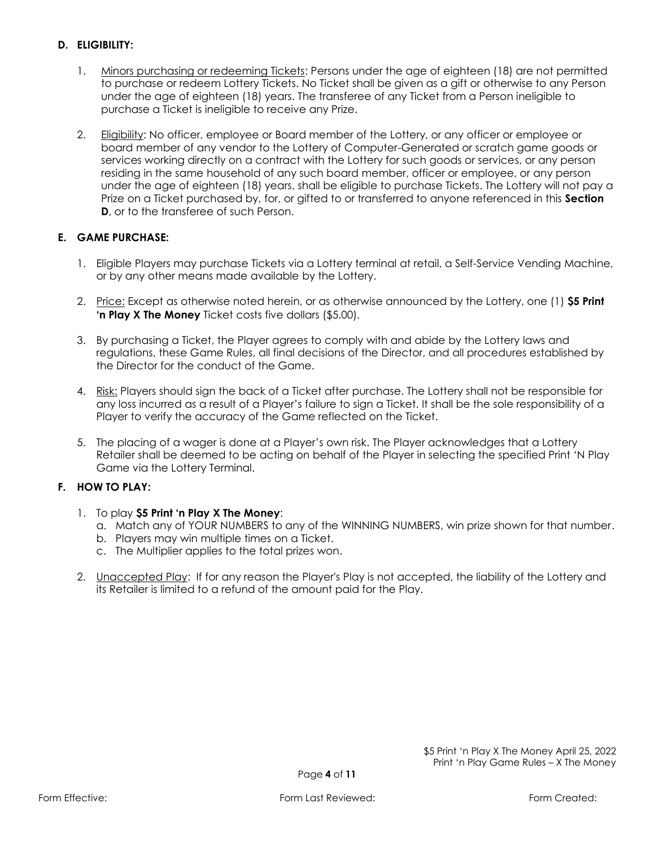## **D. ELIGIBILITY:**

- 1. Minors purchasing or redeeming Tickets: Persons under the age of eighteen (18) are not permitted to purchase or redeem Lottery Tickets. No Ticket shall be given as a gift or otherwise to any Person under the age of eighteen (18) years. The transferee of any Ticket from a Person ineligible to purchase a Ticket is ineligible to receive any Prize.
- 2. Eligibility: No officer, employee or Board member of the Lottery, or any officer or employee or board member of any vendor to the Lottery of Computer-Generated or scratch game goods or services working directly on a contract with the Lottery for such goods or services, or any person residing in the same household of any such board member, officer or employee, or any person under the age of eighteen (18) years, shall be eligible to purchase Tickets. The Lottery will not pay a Prize on a Ticket purchased by, for, or gifted to or transferred to anyone referenced in this **Section D**, or to the transferee of such Person.

## **E. GAME PURCHASE:**

- 1. Eligible Players may purchase Tickets via a Lottery terminal at retail, a Self-Service Vending Machine, or by any other means made available by the Lottery.
- 2. Price: Except as otherwise noted herein, or as otherwise announced by the Lottery, one (1) **\$5 Print 'n Play X The Money** Ticket costs five dollars (\$5.00).
- 3. By purchasing a Ticket, the Player agrees to comply with and abide by the Lottery laws and regulations, these Game Rules, all final decisions of the Director, and all procedures established by the Director for the conduct of the Game.
- 4. Risk: Players should sign the back of a Ticket after purchase. The Lottery shall not be responsible for any loss incurred as a result of a Player's failure to sign a Ticket. It shall be the sole responsibility of a Player to verify the accuracy of the Game reflected on the Ticket.
- 5. The placing of a wager is done at a Player's own risk. The Player acknowledges that a Lottery Retailer shall be deemed to be acting on behalf of the Player in selecting the specified Print 'N Play Game via the Lottery Terminal.

## **F. HOW TO PLAY:**

- 1. To play **\$5 Print 'n Play X The Money**:
	- a. Match any of YOUR NUMBERS to any of the WINNING NUMBERS, win prize shown for that number.
	- b. Players may win multiple times on a Ticket.
	- c. The Multiplier applies to the total prizes won.
- 2. Unaccepted Play: If for any reason the Player's Play is not accepted, the liability of the Lottery and its Retailer is limited to a refund of the amount paid for the Play.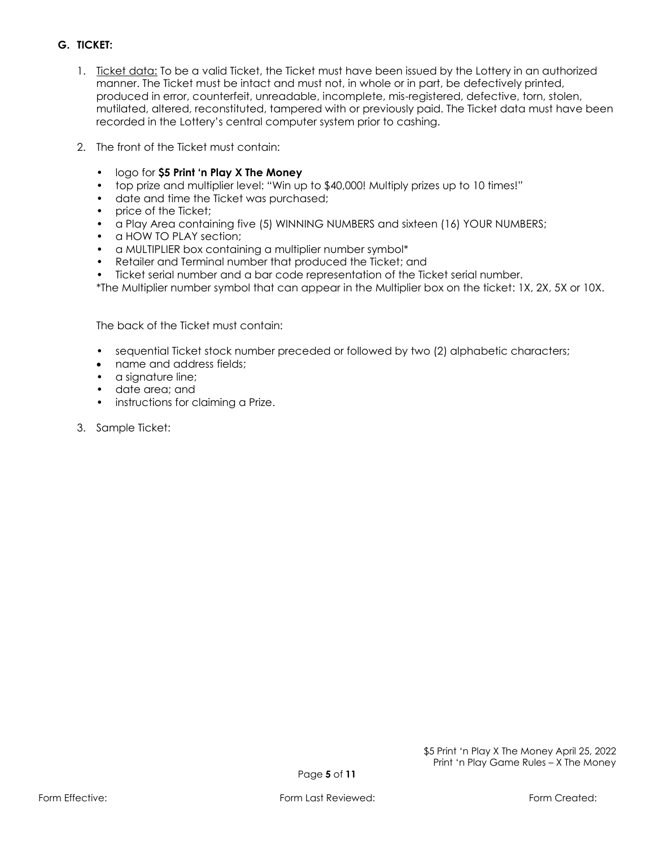# **G. TICKET:**

- 1. Ticket data: To be a valid Ticket, the Ticket must have been issued by the Lottery in an authorized manner. The Ticket must be intact and must not, in whole or in part, be defectively printed, produced in error, counterfeit, unreadable, incomplete, mis-registered, defective, torn, stolen, mutilated, altered, reconstituted, tampered with or previously paid. The Ticket data must have been recorded in the Lottery's central computer system prior to cashing.
- 2. The front of the Ticket must contain:
	- logo for **\$5 Print 'n Play X The Money**
	- top prize and multiplier level: "Win up to \$40,000! Multiply prizes up to 10 times!"
	- date and time the Ticket was purchased;
	- price of the Ticket;
	- a Play Area containing five (5) WINNING NUMBERS and sixteen (16) YOUR NUMBERS;
	- a HOW TO PLAY section:
	- a MULTIPLIER box containing a multiplier number symbol\*
	- Retailer and Terminal number that produced the Ticket; and
	- Ticket serial number and a bar code representation of the Ticket serial number.
	- \*The Multiplier number symbol that can appear in the Multiplier box on the ticket: 1X, 2X, 5X or 10X.

The back of the Ticket must contain:

- sequential Ticket stock number preceded or followed by two (2) alphabetic characters;
- name and address fields;
- a signature line;
- date area; and
- instructions for claiming a Prize.
- 3. Sample Ticket: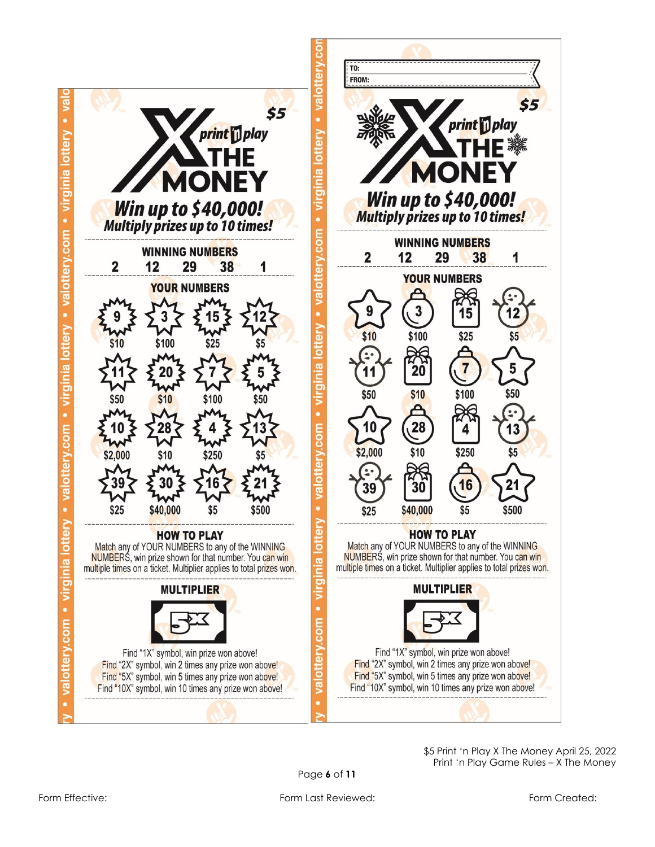

\$ 5 Print 'n Play X The Money April 25, 2022 Print 'n Play Game Rules – X The Money

 $55$ 

1

\$50

1

\$5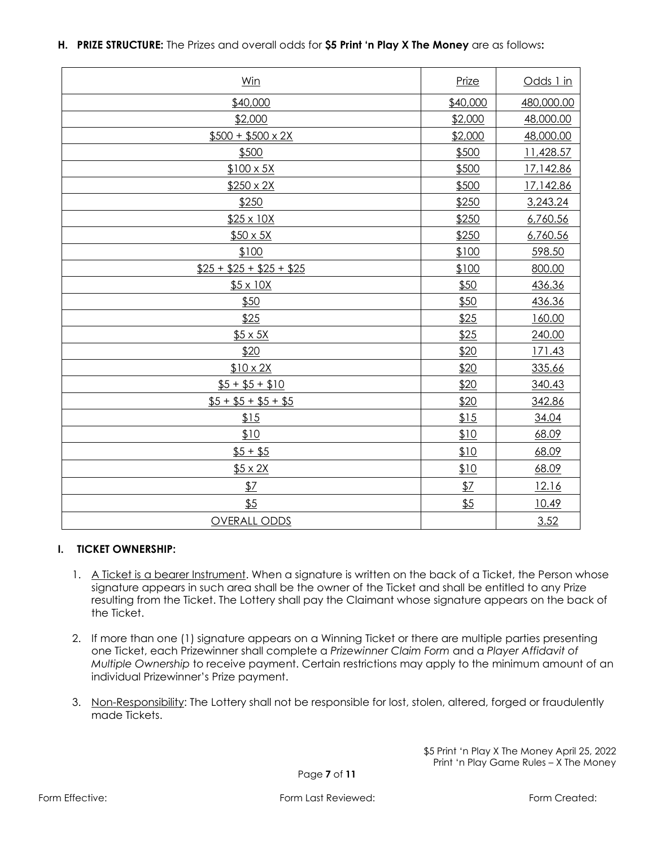|  | H. PRIZE STRUCTURE: The Prizes and overall odds for \$5 Print 'n Play X The Money are as follows: |  |  |  |  |
|--|---------------------------------------------------------------------------------------------------|--|--|--|--|
|--|---------------------------------------------------------------------------------------------------|--|--|--|--|

| Win                     | Prize    | Odds 1 in  |
|-------------------------|----------|------------|
| \$40,000                | \$40,000 | 480,000.00 |
| \$2,000                 | \$2,000  | 48,000.00  |
| $$500 + $500 \times 2X$ | \$2,000  | 48,000.00  |
| \$500                   | \$500    | 11,428.57  |
| $$100 \times 5X$        | \$500    | 17,142.86  |
| $$250 \times 2X$        | \$500    | 17,142.86  |
| \$250                   | \$250    | 3,243.24   |
| \$25 x 10X              | \$250    | 6,760.56   |
| $$50 \times 5X$         | \$250    | 6,760.56   |
| \$100                   | \$100    | 598.50     |
| $$25 + $25 + $25 + $25$ | \$100    | 800.00     |
| $$5 \times 10X$         | \$50     | 436.36     |
| \$50                    | \$50     | 436.36     |
| \$25                    | \$25     | 160.00     |
| $$5 \times 5X$          | \$25     | 240.00     |
| \$20                    | \$20     | 171.43     |
| $$10 \times 2X$         | \$20     | 335.66     |
| $$5 + $5 + $10$         | \$20     | 340.43     |
| $$5 + $5 + $5 + $5$     | \$20     | 342.86     |
| \$15                    | 15       | 34.04      |
| \$10                    | \$10     | 68.09      |
| $$5 + $5$               | \$10     | 68.09      |
| $$5 \times 2X$          | \$10     | 68.09      |
| 57                      | 57       | 12.16      |
| \$5                     | \$5      | 10.49      |
| <b>OVERALL ODDS</b>     |          | 3.52       |

## **I. TICKET OWNERSHIP:**

- 1. A Ticket is a bearer Instrument. When a signature is written on the back of a Ticket, the Person whose signature appears in such area shall be the owner of the Ticket and shall be entitled to any Prize resulting from the Ticket. The Lottery shall pay the Claimant whose signature appears on the back of the Ticket.
- 2. If more than one (1) signature appears on a Winning Ticket or there are multiple parties presenting one Ticket, each Prizewinner shall complete a *Prizewinner Claim Form* and a *Player Affidavit of Multiple Ownership* to receive payment. Certain restrictions may apply to the minimum amount of an individual Prizewinner's Prize payment.
- 3. Non-Responsibility: The Lottery shall not be responsible for lost, stolen, altered, forged or fraudulently made Tickets.

\$5 Print 'n Play X The Money April 25, 2022 Print 'n Play Game Rules – X The Money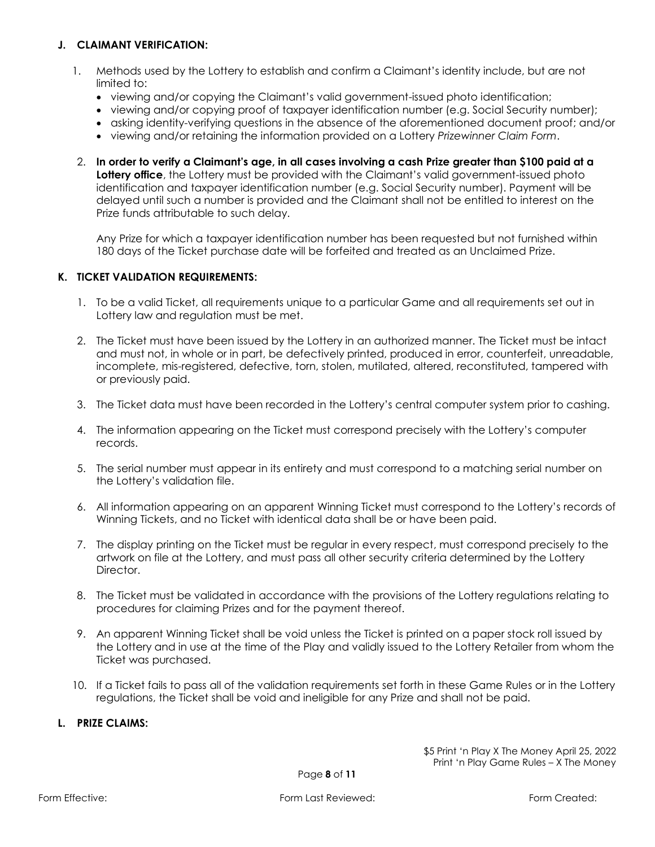#### **J. CLAIMANT VERIFICATION:**

- 1. Methods used by the Lottery to establish and confirm a Claimant's identity include, but are not limited to:
	- viewing and/or copying the Claimant's valid government-issued photo identification;
	- viewing and/or copying proof of taxpayer identification number (e.g. Social Security number);
	- asking identity-verifying questions in the absence of the aforementioned document proof; and/or
	- viewing and/or retaining the information provided on a Lottery *Prizewinner Claim Form*.
- 2. **In order to verify a Claimant's age, in all cases involving a cash Prize greater than \$100 paid at a**  Lottery office, the Lottery must be provided with the Claimant's valid government-issued photo identification and taxpayer identification number (e.g. Social Security number). Payment will be delayed until such a number is provided and the Claimant shall not be entitled to interest on the Prize funds attributable to such delay.

Any Prize for which a taxpayer identification number has been requested but not furnished within 180 days of the Ticket purchase date will be forfeited and treated as an Unclaimed Prize.

### **K. TICKET VALIDATION REQUIREMENTS:**

- 1. To be a valid Ticket, all requirements unique to a particular Game and all requirements set out in Lottery law and regulation must be met.
- 2. The Ticket must have been issued by the Lottery in an authorized manner. The Ticket must be intact and must not, in whole or in part, be defectively printed, produced in error, counterfeit, unreadable, incomplete, mis-registered, defective, torn, stolen, mutilated, altered, reconstituted, tampered with or previously paid.
- 3. The Ticket data must have been recorded in the Lottery's central computer system prior to cashing.
- 4. The information appearing on the Ticket must correspond precisely with the Lottery's computer records.
- 5. The serial number must appear in its entirety and must correspond to a matching serial number on the Lottery's validation file.
- 6. All information appearing on an apparent Winning Ticket must correspond to the Lottery's records of Winning Tickets, and no Ticket with identical data shall be or have been paid.
- 7. The display printing on the Ticket must be regular in every respect, must correspond precisely to the artwork on file at the Lottery, and must pass all other security criteria determined by the Lottery Director.
- 8. The Ticket must be validated in accordance with the provisions of the Lottery regulations relating to procedures for claiming Prizes and for the payment thereof.
- 9. An apparent Winning Ticket shall be void unless the Ticket is printed on a paper stock roll issued by the Lottery and in use at the time of the Play and validly issued to the Lottery Retailer from whom the Ticket was purchased.
- 10. If a Ticket fails to pass all of the validation requirements set forth in these Game Rules or in the Lottery regulations, the Ticket shall be void and ineligible for any Prize and shall not be paid.

#### **L. PRIZE CLAIMS:**

\$5 Print 'n Play X The Money April 25, 2022 Print 'n Play Game Rules – X The Money

Page **8** of **11**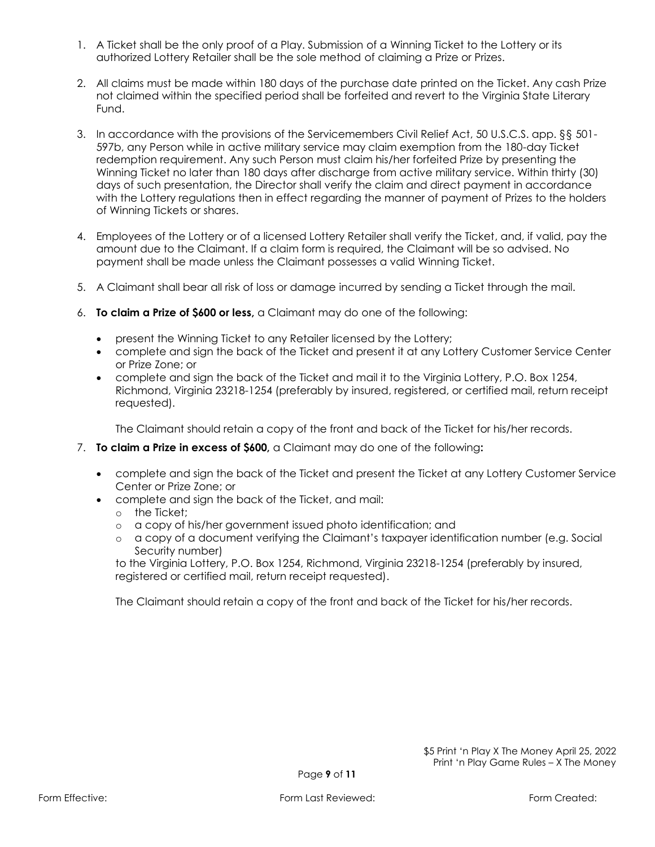- 1. A Ticket shall be the only proof of a Play. Submission of a Winning Ticket to the Lottery or its authorized Lottery Retailer shall be the sole method of claiming a Prize or Prizes.
- 2. All claims must be made within 180 days of the purchase date printed on the Ticket. Any cash Prize not claimed within the specified period shall be forfeited and revert to the Virginia State Literary Fund.
- 3. In accordance with the provisions of the Servicemembers Civil Relief Act, 50 U.S.C.S. app. §§ 501- 597b, any Person while in active military service may claim exemption from the 180-day Ticket redemption requirement. Any such Person must claim his/her forfeited Prize by presenting the Winning Ticket no later than 180 days after discharge from active military service. Within thirty (30) days of such presentation, the Director shall verify the claim and direct payment in accordance with the Lottery regulations then in effect regarding the manner of payment of Prizes to the holders of Winning Tickets or shares.
- 4. Employees of the Lottery or of a licensed Lottery Retailer shall verify the Ticket, and, if valid, pay the amount due to the Claimant. If a claim form is required, the Claimant will be so advised. No payment shall be made unless the Claimant possesses a valid Winning Ticket.
- 5. A Claimant shall bear all risk of loss or damage incurred by sending a Ticket through the mail.
- 6. **To claim a Prize of \$600 or less,** a Claimant may do one of the following:
	- present the Winning Ticket to any Retailer licensed by the Lottery;
	- complete and sign the back of the Ticket and present it at any Lottery Customer Service Center or Prize Zone; or
	- complete and sign the back of the Ticket and mail it to the Virginia Lottery, P.O. Box 1254, Richmond, Virginia 23218-1254 (preferably by insured, registered, or certified mail, return receipt requested).

The Claimant should retain a copy of the front and back of the Ticket for his/her records.

- 7. **To claim a Prize in excess of \$600,** a Claimant may do one of the following**:**
	- complete and sign the back of the Ticket and present the Ticket at any Lottery Customer Service Center or Prize Zone; or
	- complete and sign the back of the Ticket, and mail:
		- o the Ticket;
		- o a copy of his/her government issued photo identification; and
		- o a copy of a document verifying the Claimant's taxpayer identification number (e.g. Social Security number)

to the Virginia Lottery, P.O. Box 1254, Richmond, Virginia 23218-1254 (preferably by insured, registered or certified mail, return receipt requested).

The Claimant should retain a copy of the front and back of the Ticket for his/her records.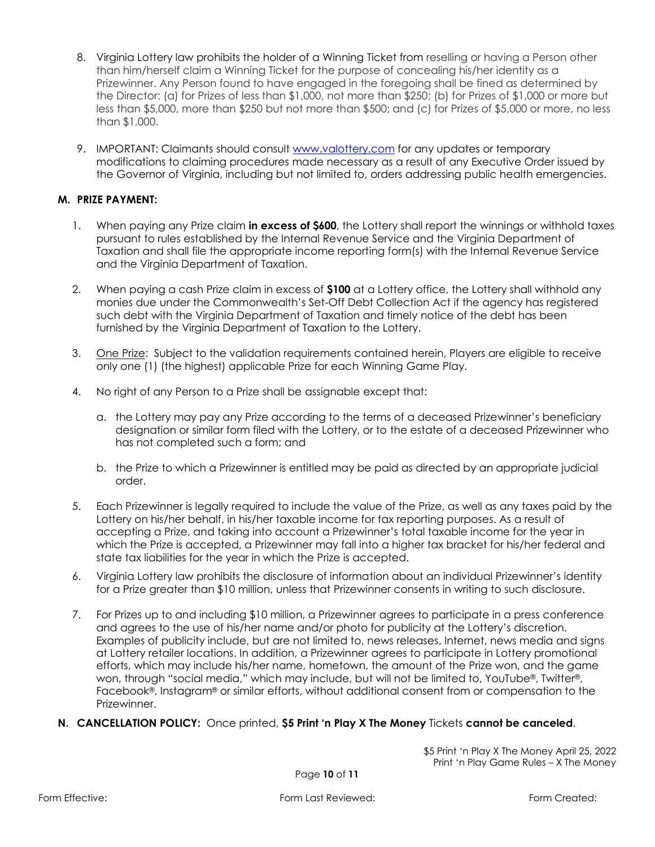- 8. Virginia Lottery law prohibits the holder of a Winning Ticket from reselling or having a Person other than him/herself claim a Winning Ticket for the purpose of concealing his/her identity as a Prizewinner. Any Person found to have engaged in the foregoing shall be fined as determined by the Director: (a) for Prizes of less than \$1,000, not more than \$250; (b) for Prizes of \$1,000 or more but less than \$5,000, more than \$250 but not more than \$500; and (c) for Prizes of \$5,000 or more, no less than \$1,000.
- 9. IMPORTANT: Claimants should consult [www.valottery.com](https://www.valottery.com/) for any updates or temporary modifications to claiming procedures made necessary as a result of any Executive Order issued by the Governor of Virginia, including but not limited to, orders addressing public health emergencies.

### **M. PRIZE PAYMENT:**

- 1. When paying any Prize claim **in excess of \$600**, the Lottery shall report the winnings or withhold taxes pursuant to rules established by the Internal Revenue Service and the Virginia Department of Taxation and shall file the appropriate income reporting form(s) with the Internal Revenue Service and the Virginia Department of Taxation.
- 2. When paying a cash Prize claim in excess of **\$100** at a Lottery office, the Lottery shall withhold any monies due under the Commonwealth's Set-Off Debt Collection Act if the agency has registered such debt with the Virginia Department of Taxation and timely notice of the debt has been furnished by the Virginia Department of Taxation to the Lottery.
- 3. One Prize: Subject to the validation requirements contained herein, Players are eligible to receive only one (1) (the highest) applicable Prize for each Winning Game Play.
- 4. No right of any Person to a Prize shall be assignable except that:
	- a. the Lottery may pay any Prize according to the terms of a deceased Prizewinner's beneficiary designation or similar form filed with the Lottery, or to the estate of a deceased Prizewinner who has not completed such a form; and
	- b. the Prize to which a Prizewinner is entitled may be paid as directed by an appropriate judicial order.
- 5. Each Prizewinner is legally required to include the value of the Prize, as well as any taxes paid by the Lottery on his/her behalf, in his/her taxable income for tax reporting purposes. As a result of accepting a Prize, and taking into account a Prizewinner's total taxable income for the year in which the Prize is accepted, a Prizewinner may fall into a higher tax bracket for his/her federal and state tax liabilities for the year in which the Prize is accepted.
- 6. Virginia Lottery law prohibits the disclosure of information about an individual Prizewinner's identity for a Prize greater than \$10 million, unless that Prizewinner consents in writing to such disclosure.
- 7. For Prizes up to and including \$10 million, a Prizewinner agrees to participate in a press conference and agrees to the use of his/her name and/or photo for publicity at the Lottery's discretion. Examples of publicity include, but are not limited to, news releases, Internet, news media and signs at Lottery retailer locations. In addition, a Prizewinner agrees to participate in Lottery promotional efforts, which may include his/her name, hometown, the amount of the Prize won, and the game won, through "social media," which may include, but will not be limited to, YouTube®, Twitter®, Facebook®, Instagram® or similar efforts, without additional consent from or compensation to the Prizewinner.
- **N. CANCELLATION POLICY:** Once printed, **\$5 Print 'n Play X The Money** Tickets **cannot be canceled**.

\$5 Print 'n Play X The Money April 25, 2022 Print 'n Play Game Rules – X The Money

Page **10** of **11**